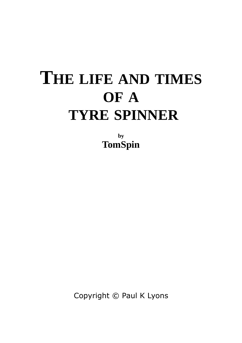## **THE LIFE AND TIMES OF A TYRE SPINNER**

**by TomSpin**

Copyright © Paul K Lyons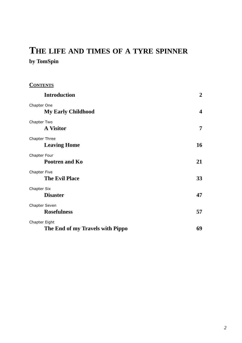## **THE LIFE AND TIMES OF A TYRE SPINNER by TomSpin**

| <b>CONTENTS</b>                                   |                  |
|---------------------------------------------------|------------------|
| <b>Introduction</b>                               | $\boldsymbol{2}$ |
| Chapter One<br><b>My Early Childhood</b>          | $\boldsymbol{4}$ |
| Chapter Two<br><b>A Visitor</b>                   | 7                |
| Chapter Three<br><b>Leaving Home</b>              | 16               |
| Chapter Four<br>Pootren and Ko                    | 21               |
| Chapter Five<br><b>The Evil Place</b>             | 33               |
| Chapter Six<br><b>Disaster</b>                    | 47               |
| Chapter Seven<br><b>Rosefulness</b>               | 57               |
| Chapter Eight<br>The End of my Travels with Pippo | 69               |